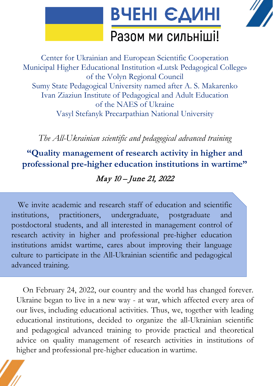

Center for Ukrainian and European Scientific Cooperation Municipal Higher Educational Institution «Lutsk Pedagogical College» of the Volyn Regional Council Sumy State Pedagogical University named after A. S. Makarenko Ivan Ziaziun Institute of Pedagogical and Adult Education of the NAES of Ukraine Vasyl Stefanyk Precarpathian National University

*The All-Ukrainian scientific and pedagogical advanced training*

**"Quality management of research activity in higher and professional pre-higher education institutions in wartime"** 

### May 10 – June 21, 2022

We invite academic and research staff of education and scientific institutions, practitioners, undergraduate, postgraduate and postdoctoral students, and all interested in management control of research activity in higher and professional pre-higher education institutions amidst wartime, cares about improving their language culture to participate in the All-Ukrainian scientific and pedagogical advanced training.

On February 24, 2022, our country and the world has changed forever. Ukraine began to live in a new way - at war, which affected every area of our lives, including educational activities. Thus, we, together with leading educational institutions, decided to organize the all-Ukrainian scientific and pedagogical advanced training to provide practical and theoretical advice on quality management of research activities in institutions of higher and professional pre-higher education in wartime.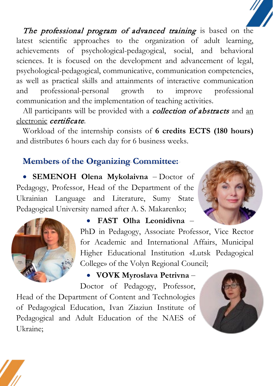The professional program of advanced training is based on the latest scientific approaches to the organization of adult learning, achievements of psychological-pedagogical, social, and behavioral sciences. It is focused on the development and advancement of legal, psychological-pedagogical, communicative, communication competencies, as well as practical skills and attainments of interactive communication and professional-personal growth to improve professional communication and the implementation of teaching activities.

All participants will be provided with a **collection of abstracts** and an electronic *certificate*.

Workload of the internship consists of **6 credits ECTS (180 hours)**  and distributes 6 hours each day for 6 business weeks.

# **Members of the Organizing Committee:**

• **SEMENOH Olena Mykolaivna** – Doctor of Pedagogy, Professor, Head of the Department of the Ukrainian Language and Literature, Sumy State Pedagogical University named after A. S. Makarenko;



# • **FAST Olha Leonidivna** –

PhD in Pedagogy, Associate Professor, Vice Rector for Academic and International Affairs, Municipal Higher Educational Institution «Lutsk Pedagogical College» of the Volyn Regional Council;

# • **VOVK Myroslava Petrivna** –

Doctor of Pedagogy, Professor,

Head of the Department of Content and Technologies of Pedagogical Education, Ivan Ziaziun Institute of Pedagogical and Adult Education of the NAES of Ukraine;



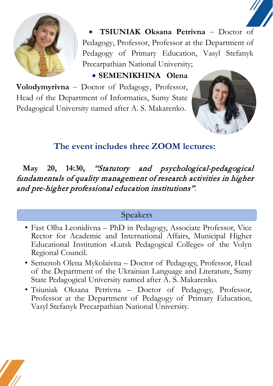

• **TSIUNIAK Oksana Petrivna** – Doctor of Pedagogy, Professor, Professor at the Department of Pedagogy of Primary Education, Vasyl Stefanyk Precarpathian National University;

• **SEMENIKHINA Olena Volodymyrivna** – Doctor of Pedagogy, Professor, Head of the Department of Informatics, Sumy State

Pedagogical University named after A. S. Makarenko.



# **The event includes three ZOOM lectures:**

**May 20, 14:30,** "Statutory and psychological-pedagogical fundamentals of quality management of research activities in higher and pre-higher professional education institutions".

### Speakers

- Fast Olha Leonidivna PhD in Pedagogy, Associate Professor, Vice Rector for Academic and International Affairs, Municipal Higher Educational Institution «Lutsk Pedagogical College» of the Volyn Regional Council.
- Semenoh Olena Mykolaivna Doctor of Pedagogy, Professor, Head of the Department of the Ukrainian Language and Literature, Sumy State Pedagogical University named after A. S. Makarenko.
- Tsiuniak Oksana Petrivna Doctor of Pedagogy, Professor, Professor at the Department of Pedagogy of Primary Education, Vasyl Stefanyk Precarpathian National University.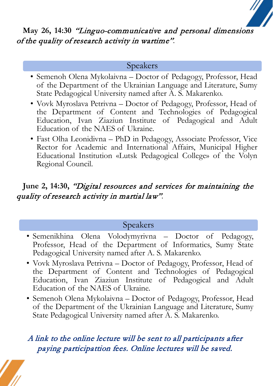### **May 26, 14:30** "Linguo-communicative and personal dimensions of the quality of research activity in wartime"*.*

#### Speakers

- Semenoh Olena Mykolaivna Doctor of Pedagogy, Professor, Head of the Department of the Ukrainian Language and Literature, Sumy State Pedagogical University named after A. S. Makarenko.
- Vovk Myroslava Petrivna Doctor of Pedagogy, Professor, Head of the Department of Content and Technologies of Pedagogical Education, Ivan Ziaziun Institute of Pedagogical and Adult Education of the NAES of Ukraine.
- Fast Olha Leonidivna PhD in Pedagogy, Associate Professor, Vice Rector for Academic and International Affairs, Municipal Higher Educational Institution «Lutsk Pedagogical College» of the Volyn Regional Council.

# **June 2, 14:30,** "Digital resources and services for maintaining the quality of research activity in martial law"*.*

### Speakers

- Semenikhina Olena Volodymyrivna Doctor of Pedagogy, Professor, Head of the Department of Informatics, Sumy State Pedagogical University named after A. S. Makarenko.
- Vovk Myroslava Petrivna Doctor of Pedagogy, Professor, Head of the Department of Content and Technologies of Pedagogical Education, Ivan Ziaziun Institute of Pedagogical and Adult Education of the NAES of Ukraine.
- Semenoh Olena Mykolaivna Doctor of Pedagogy, Professor, Head of the Department of the Ukrainian Language and Literature, Sumy State Pedagogical University named after A. S. Makarenko.

# A link to the online lecture will be sent to all participants after paying participattion fees. Online lectures will be saved.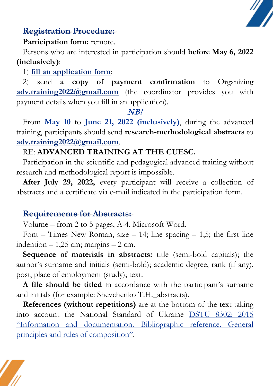

### **Registration Procedure:**

#### **Participation form:** remote.

Persons who are interested in participation should **before May 6, 2022 (inclusively)**:

1) **[fill an application form](https://docs.google.com/forms/d/1tBE9GIoZDWGVKYJsu9OZ_96TIIcVEa7KOhvPgkMmvVw/viewform?edit_requested=true)**;

2) send **a copy of payment confirmation** to Organizing [adv.training2022@gmail.com](mailto:adv.training2022@gmail.com) (the coordinator provides you with payment details when you fill in an application).

#### NB!

From **May 10** to **June 21, 2022 (inclusively)**, during the advanced training, participants should send **research-methodological abstracts** to **[adv.training2022@gmail.com](mailto:adv.training2022@gmail.com)**.

# RE: **ADVANCED TRAINING AT THE CUESC.**

Participation in the scientific and pedagogical advanced training without research and methodological report is impossible.

**After July 29, 2022,** every participant will receive a collection of abstracts and a certificate via e-mail indicated in the participation form.

### **Requirements for Abstracts:**

Volume – from 2 to 5 pages, А-4, Microsoft Word.

Font – Times New Roman, size – 14; line spacing – 1,5; the first line indention  $-1,25$  cm; margins  $-2$  cm.

**Sequence of materials in abstracts:** title (semi-bold capitals); the author's surname and initials (semi-bold); academic degree, rank (if any), post, place of employment (study); text.

**A file should be titled** in accordance with the participant's surname and initials (for example: Shevchenko T.H.\_abstracts).

**References (without repetitions)** are at the bottom of the text taking into account the National Standard of Ukraine [DSTU 8302: 2015](https://cuesc.org.ua/bibl.pdf)  ["Information and documentation. Bibliographic reference. General](https://cuesc.org.ua/bibl.pdf)  [principles and rules of composition".](https://cuesc.org.ua/bibl.pdf)

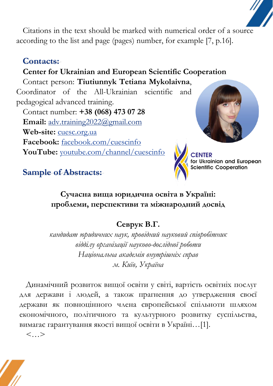Citations in the text should be marked with numerical order of a source according to the list and page (pages) number, for example [7, p.16].

### **Contacts:**

# **Center for Ukrainian and European Scientific Cooperation**

Contact person: **Tiutiunnyk Tetiana Mykolaivna**, Coordinator of the All-Ukrainian scientific and pedagogical advanced training.

Contact number: **+38 (068) 473 07 28 Email:** [adv.training2022@gmail.com](mailto:adv.training2022@gmail.com) **Web-site:** [cuesc.org.ua](http://www.cuesc.org.ua/) **Facebook:** [facebook.com/cuescinfo](https://www.facebook.com/cuescinfo/) **YouTube:** [youtube.com/channel/cuescinfo](https://www.youtube.com/channel/UCu4akUz9RyclGddvWrAh5pQ)





ainian and European **Scientific Cooperation** 

### **Sample of Abstracts:**

### **Сучасна вища юридична освіта в Україні: проблеми, перспективи та міжнародний досвід**

# **Севрук В.Г.**

*кандидат юридичних наук, провідний науковий співробітник відділу організації науково-дослідної роботи Національна академія внутрішніх справ м. Київ, Україна*

Динамічний розвиток вищої освіти у світі, вартість освітніх послуг для держави і людей, а також прагнення до утвердження своєї держави як повноцінного члена європейської спільноти шляхом економічного, політичного та культурного розвитку суспільства, вимагає гарантування якості вищої освіти в Україні…[1].

 $\langle \, \rangle$